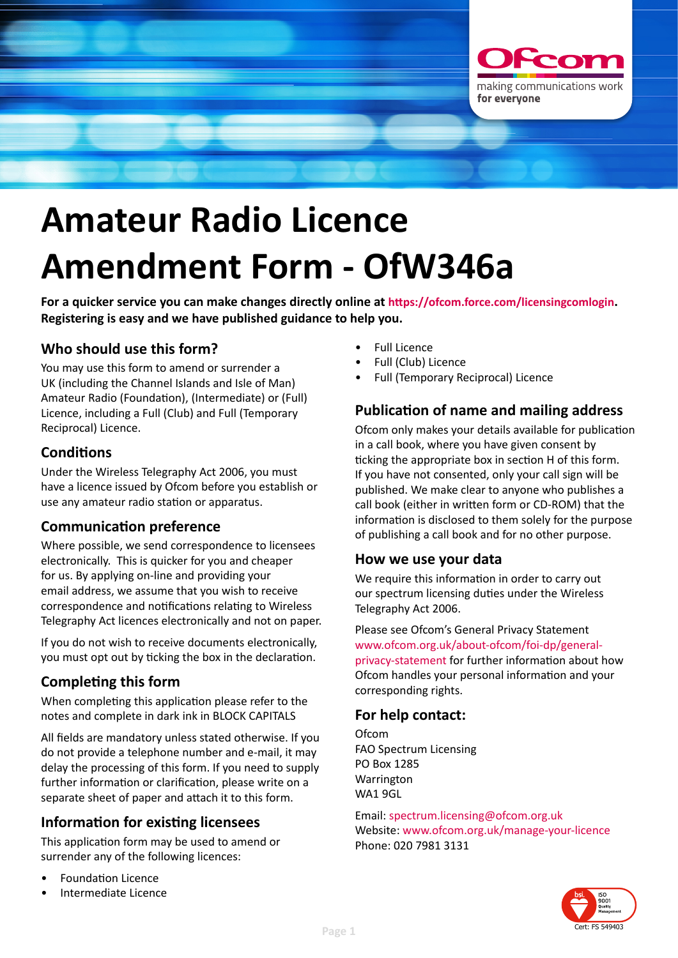

# **Amateur Radio Licence Amendment Form - OfW346a**

**For a quicker service you can make changes directly online at [https://ofcom.force.com/licensingcomlogin.](https://ofcom.force.com/licensingcomlogin) Registering is easy and we have published guidance to help you.**

# **Who should use this form?**

You may use this form to amend or surrender a UK (including the Channel Islands and Isle of Man) Amateur Radio (Foundation), (Intermediate) or (Full) Licence, including a Full (Club) and Full (Temporary Reciprocal) Licence.

#### **Conditions**

Under the Wireless Telegraphy Act 2006, you must have a licence issued by Ofcom before you establish or use any amateur radio station or apparatus.

# **Communication preference**

Where possible, we send correspondence to licensees electronically. This is quicker for you and cheaper for us. By applying on-line and providing your email address, we assume that you wish to receive correspondence and notifications relating to Wireless Telegraphy Act licences electronically and not on paper.

If you do not wish to receive documents electronically, you must opt out by ticking the box in the declaration.

# **Completing this form**

When completing this application please refer to the notes and complete in dark ink in BLOCK CAPITALS

All fields are mandatory unless stated otherwise. If you do not provide a telephone number and e-mail, it may delay the processing of this form. If you need to supply further information or clarification, please write on a separate sheet of paper and attach it to this form.

# **Information for existing licensees**

This application form may be used to amend or surrender any of the following licences:

- Foundation Licence
- Intermediate Licence
- Full Licence
- Full (Club) Licence
- Full (Temporary Reciprocal) Licence

# **Publication of name and mailing address**

Ofcom only makes your details available for publication in a call book, where you have given consent by ticking the appropriate box in section H of this form. If you have not consented, only your call sign will be published. We make clear to anyone who publishes a call book (either in written form or CD-ROM) that the information is disclosed to them solely for the purpose of publishing a call book and for no other purpose.

#### **How we use your data**

We require this information in order to carry out our spectrum licensing duties under the Wireless Telegraphy Act 2006.

Please see Ofcom's General Privacy Statement [www.ofcom.org.uk/about-ofcom/foi-dp/general](http://www.ofcom.org.uk/about-ofcom/foi-dp/general-privacy-statement)[privacy-statement](http://www.ofcom.org.uk/about-ofcom/foi-dp/general-privacy-statement) for further information about how Ofcom handles your personal information and your corresponding rights.

#### **For help contact:**

Ofcom FAO Spectrum Licensing PO Box 1285 Warrington WA1 9GL

Email: [spectrum.licensing@ofcom.org.uk](mailto:spectrum.licensing%40ofcom.org.uk?subject=) Website: <www.ofcom.org.uk/manage-your-licence> Phone: 020 7981 3131

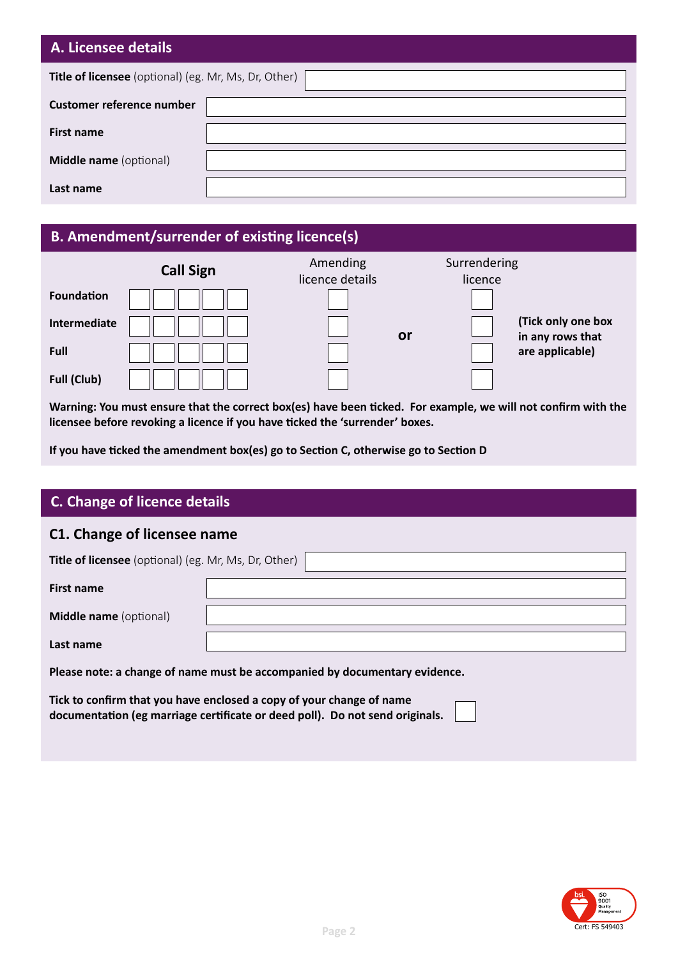#### **A. Licensee details**

| Title of licensee (optional) (eg. Mr, Ms, Dr, Other) |  |  |  |
|------------------------------------------------------|--|--|--|
| Customer reference number                            |  |  |  |
| <b>First name</b>                                    |  |  |  |
| <b>Middle name</b> (optional)                        |  |  |  |
| Last name                                            |  |  |  |

#### **B. Amendment/surrender of existing licence(s)**

|                   | <b>Call Sign</b> | Amending<br>licence details | Surrendering<br>licence |                                        |
|-------------------|------------------|-----------------------------|-------------------------|----------------------------------------|
| <b>Foundation</b> |                  |                             |                         |                                        |
| Intermediate      |                  |                             | or                      | (Tick only one box<br>in any rows that |
| Full              |                  |                             |                         | are applicable)                        |
| Full (Club)       |                  |                             |                         |                                        |

**Warning: You must ensure that the correct box(es) have been ticked. For example, we will not confirm with the licensee before revoking a licence if you have ticked the 'surrender' boxes.** 

**If you have ticked the amendment box(es) go to Section C, otherwise go to Section D**

# **C. Change of licence details**

#### **C1. Change of licensee name**

| Title of licensee (optional) (eg. Mr, Ms, Dr, Other)                       |  |  |  |
|----------------------------------------------------------------------------|--|--|--|
| First name                                                                 |  |  |  |
| <b>Middle name</b> (optional)                                              |  |  |  |
| Last name                                                                  |  |  |  |
| Please note: a change of name must be accompanied by documentary evidence. |  |  |  |

**Tick to confirm that you have enclosed a copy of your change of name documentation (eg marriage certificate or deed poll). Do not send originals.** 

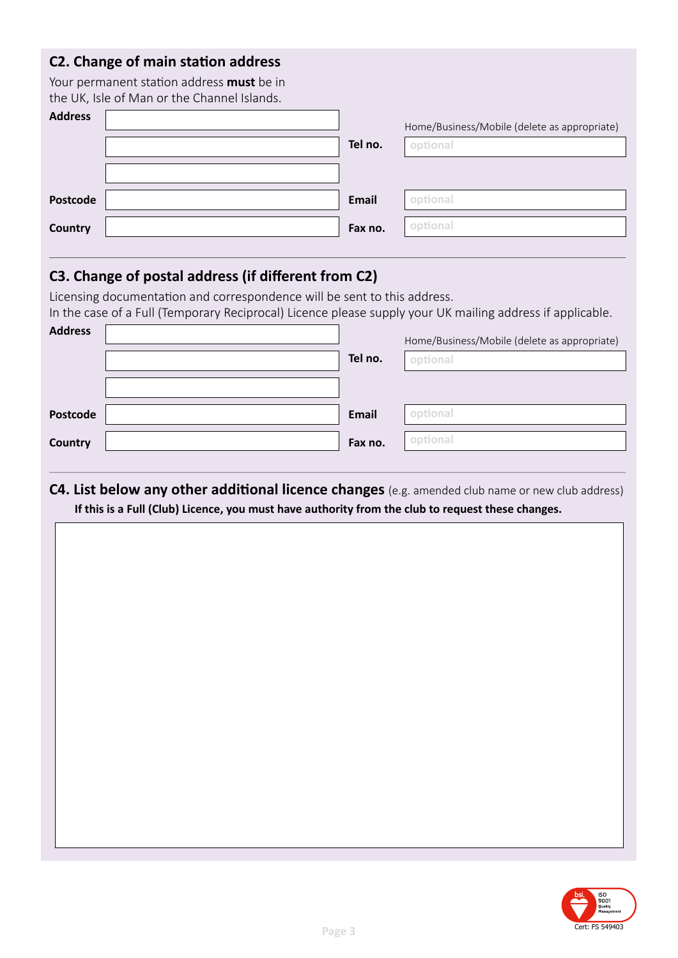#### **C2. Change of main station address**

Your permanent station address **must** be in the UK, Isle of Man or the Channel Islands.

| <b>Address</b>  | Tel no. | Home/Business/Mobile (delete as appropriate)<br>optional |
|-----------------|---------|----------------------------------------------------------|
|                 |         |                                                          |
| <b>Postcode</b> | Email   | optional                                                 |
| Country         | Fax no. | optional                                                 |

# **C3. Change of postal address (if different from C2)**

Licensing documentation and correspondence will be sent to this address. In the case of a Full (Temporary Reciprocal) Licence please supply your UK mailing address if applicable.

| <b>Address</b> | Tel no. | Home/Business/Mobile (delete as appropriate)<br>optional |
|----------------|---------|----------------------------------------------------------|
| Postcode       | Email   | optional                                                 |
| Country        | Fax no. | optional                                                 |

**C4. List below any other additional licence changes** (e.g. amended club name or new club address)  **If this is a Full (Club) Licence, you must have authority from the club to request these changes.** 

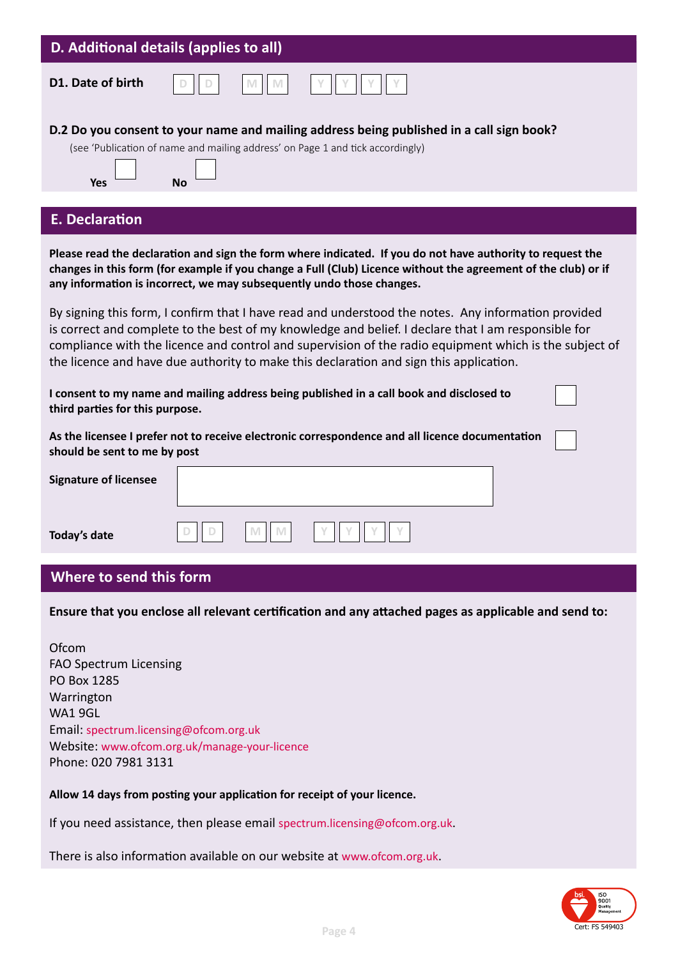| D. Additional details (applies to all)                                                                                                                                                                                                                                                                                                                                                                                                                                                                                                                                                                                                                                                                                                                                                                                                                                                                                                                                                    |  |  |  |  |
|-------------------------------------------------------------------------------------------------------------------------------------------------------------------------------------------------------------------------------------------------------------------------------------------------------------------------------------------------------------------------------------------------------------------------------------------------------------------------------------------------------------------------------------------------------------------------------------------------------------------------------------------------------------------------------------------------------------------------------------------------------------------------------------------------------------------------------------------------------------------------------------------------------------------------------------------------------------------------------------------|--|--|--|--|
| D1. Date of birth                                                                                                                                                                                                                                                                                                                                                                                                                                                                                                                                                                                                                                                                                                                                                                                                                                                                                                                                                                         |  |  |  |  |
| D.2 Do you consent to your name and mailing address being published in a call sign book?<br>(see 'Publication of name and mailing address' on Page 1 and tick accordingly)<br><b>Yes</b><br>No                                                                                                                                                                                                                                                                                                                                                                                                                                                                                                                                                                                                                                                                                                                                                                                            |  |  |  |  |
| <b>E. Declaration</b>                                                                                                                                                                                                                                                                                                                                                                                                                                                                                                                                                                                                                                                                                                                                                                                                                                                                                                                                                                     |  |  |  |  |
| Please read the declaration and sign the form where indicated. If you do not have authority to request the<br>changes in this form (for example if you change a Full (Club) Licence without the agreement of the club) or if<br>any information is incorrect, we may subsequently undo those changes.<br>By signing this form, I confirm that I have read and understood the notes. Any information provided<br>is correct and complete to the best of my knowledge and belief. I declare that I am responsible for<br>compliance with the licence and control and supervision of the radio equipment which is the subject of<br>the licence and have due authority to make this declaration and sign this application.<br>I consent to my name and mailing address being published in a call book and disclosed to<br>third parties for this purpose.<br>As the licensee I prefer not to receive electronic correspondence and all licence documentation<br>should be sent to me by post |  |  |  |  |
| <b>Signature of licensee</b>                                                                                                                                                                                                                                                                                                                                                                                                                                                                                                                                                                                                                                                                                                                                                                                                                                                                                                                                                              |  |  |  |  |
| Today's date                                                                                                                                                                                                                                                                                                                                                                                                                                                                                                                                                                                                                                                                                                                                                                                                                                                                                                                                                                              |  |  |  |  |
| Where to send this form                                                                                                                                                                                                                                                                                                                                                                                                                                                                                                                                                                                                                                                                                                                                                                                                                                                                                                                                                                   |  |  |  |  |
| Ensure that you enclose all relevant certification and any attached pages as applicable and send to:                                                                                                                                                                                                                                                                                                                                                                                                                                                                                                                                                                                                                                                                                                                                                                                                                                                                                      |  |  |  |  |
| Ofcom<br><b>FAO Spectrum Licensing</b><br>PO Box 1285<br>Warrington<br>WA1 9GL<br>Email: spectrum.licensing@ofcom.org.uk<br>Website: www.ofcom.org.uk/manage-your-licence<br>Phone: 020 7981 3131                                                                                                                                                                                                                                                                                                                                                                                                                                                                                                                                                                                                                                                                                                                                                                                         |  |  |  |  |

#### **Allow 14 days from posting your application for receipt of your licence.**

If you need assistance, then please email spectrum.licensing@ofcom.org.uk.

There is also information available on our website at [www.ofcom.org.uk.](www.ofcom.org.uk)